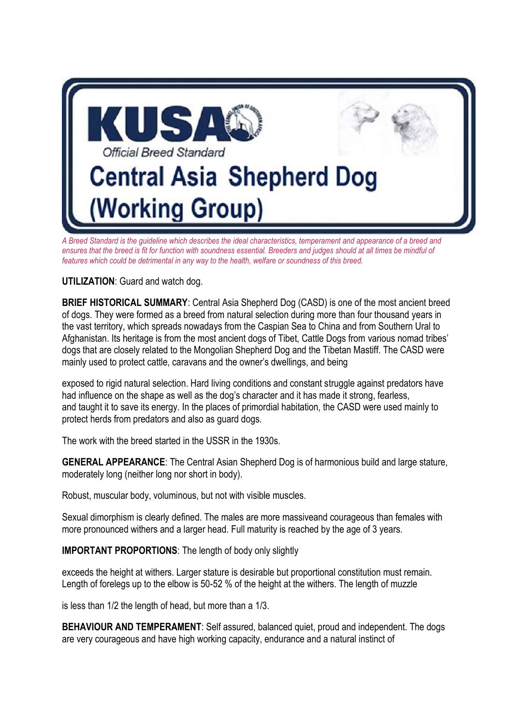

*A Breed Standard is the guideline which describes the ideal characteristics, temperament and appearance of a breed and*  ensures that the breed is fit for function with soundness essential. Breeders and judges should at all times be mindful of *features which could be detrimental in any way to the health, welfare or soundness of this breed.*

**UTILIZATION**: Guard and watch dog.

**BRIEF HISTORICAL SUMMARY**: Central Asia Shepherd Dog (CASD) is one of the most ancient breed of dogs. They were formed as a breed from natural selection during more than four thousand years in the vast territory, which spreads nowadays from the Caspian Sea to China and from Southern Ural to Afghanistan. Its heritage is from the most ancient dogs of Tibet, Cattle Dogs from various nomad tribes' dogs that are closely related to the Mongolian Shepherd Dog and the Tibetan Mastiff. The CASD were mainly used to protect cattle, caravans and the owner's dwellings, and being

exposed to rigid natural selection. Hard living conditions and constant struggle against predators have had influence on the shape as well as the dog's character and it has made it strong, fearless, and taught it to save its energy. In the places of primordial habitation, the CASD were used mainly to protect herds from predators and also as guard dogs.

The work with the breed started in the USSR in the 1930s.

**GENERAL APPEARANCE**: The Central Asian Shepherd Dog is of harmonious build and large stature, moderately long (neither long nor short in body).

Robust, muscular body, voluminous, but not with visible muscles.

Sexual dimorphism is clearly defined. The males are more massiveand courageous than females with more pronounced withers and a larger head. Full maturity is reached by the age of 3 years.

**IMPORTANT PROPORTIONS**: The length of body only slightly

exceeds the height at withers. Larger stature is desirable but proportional constitution must remain. Length of forelegs up to the elbow is 50-52 % of the height at the withers. The length of muzzle

is less than 1/2 the length of head, but more than a 1/3.

**BEHAVIOUR AND TEMPERAMENT:** Self assured, balanced quiet, proud and independent. The dogs are very courageous and have high working capacity, endurance and a natural instinct of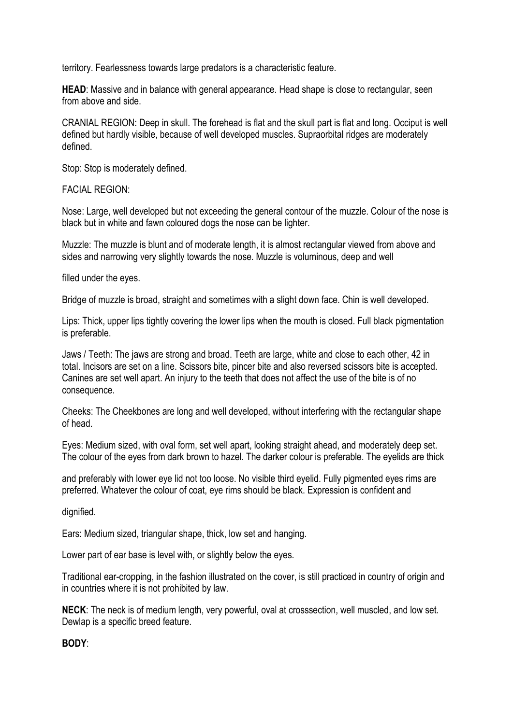territory. Fearlessness towards large predators is a characteristic feature.

**HEAD**: Massive and in balance with general appearance. Head shape is close to rectangular, seen from above and side.

CRANIAL REGION: Deep in skull. The forehead is flat and the skull part is flat and long. Occiput is well defined but hardly visible, because of well developed muscles. Supraorbital ridges are moderately defined.

Stop: Stop is moderately defined.

FACIAL REGION:

Nose: Large, well developed but not exceeding the general contour of the muzzle. Colour of the nose is black but in white and fawn coloured dogs the nose can be lighter.

Muzzle: The muzzle is blunt and of moderate length, it is almost rectangular viewed from above and sides and narrowing very slightly towards the nose. Muzzle is voluminous, deep and well

filled under the eyes.

Bridge of muzzle is broad, straight and sometimes with a slight down face. Chin is well developed.

Lips: Thick, upper lips tightly covering the lower lips when the mouth is closed. Full black pigmentation is preferable.

Jaws / Teeth: The jaws are strong and broad. Teeth are large, white and close to each other, 42 in total. Incisors are set on a line. Scissors bite, pincer bite and also reversed scissors bite is accepted. Canines are set well apart. An injury to the teeth that does not affect the use of the bite is of no consequence.

Cheeks: The Cheekbones are long and well developed, without interfering with the rectangular shape of head.

Eyes: Medium sized, with oval form, set well apart, looking straight ahead, and moderately deep set. The colour of the eyes from dark brown to hazel. The darker colour is preferable. The eyelids are thick

and preferably with lower eye lid not too loose. No visible third eyelid. Fully pigmented eyes rims are preferred. Whatever the colour of coat, eye rims should be black. Expression is confident and

dignified.

Ears: Medium sized, triangular shape, thick, low set and hanging.

Lower part of ear base is level with, or slightly below the eyes.

Traditional ear-cropping, in the fashion illustrated on the cover, is still practiced in country of origin and in countries where it is not prohibited by law.

**NECK**: The neck is of medium length, very powerful, oval at crosssection, well muscled, and low set. Dewlap is a specific breed feature.

**BODY**: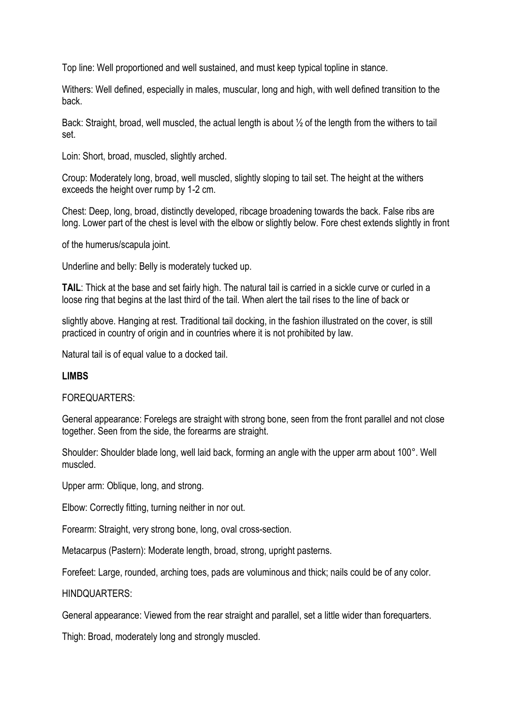Top line: Well proportioned and well sustained, and must keep typical topline in stance.

Withers: Well defined, especially in males, muscular, long and high, with well defined transition to the back.

Back: Straight, broad, well muscled, the actual length is about ½ of the length from the withers to tail set.

Loin: Short, broad, muscled, slightly arched.

Croup: Moderately long, broad, well muscled, slightly sloping to tail set. The height at the withers exceeds the height over rump by 1-2 cm.

Chest: Deep, long, broad, distinctly developed, ribcage broadening towards the back. False ribs are long. Lower part of the chest is level with the elbow or slightly below. Fore chest extends slightly in front

of the humerus/scapula joint.

Underline and belly: Belly is moderately tucked up.

**TAIL**: Thick at the base and set fairly high. The natural tail is carried in a sickle curve or curled in a loose ring that begins at the last third of the tail. When alert the tail rises to the line of back or

slightly above. Hanging at rest. Traditional tail docking, in the fashion illustrated on the cover, is still practiced in country of origin and in countries where it is not prohibited by law.

Natural tail is of equal value to a docked tail.

### **LIMBS**

### FOREQUARTERS:

General appearance: Forelegs are straight with strong bone, seen from the front parallel and not close together. Seen from the side, the forearms are straight.

Shoulder: Shoulder blade long, well laid back, forming an angle with the upper arm about 100°. Well muscled.

Upper arm: Oblique, long, and strong.

Elbow: Correctly fitting, turning neither in nor out.

Forearm: Straight, very strong bone, long, oval cross-section.

Metacarpus (Pastern): Moderate length, broad, strong, upright pasterns.

Forefeet: Large, rounded, arching toes, pads are voluminous and thick; nails could be of any color.

HINDQUARTERS:

General appearance: Viewed from the rear straight and parallel, set a little wider than forequarters.

Thigh: Broad, moderately long and strongly muscled.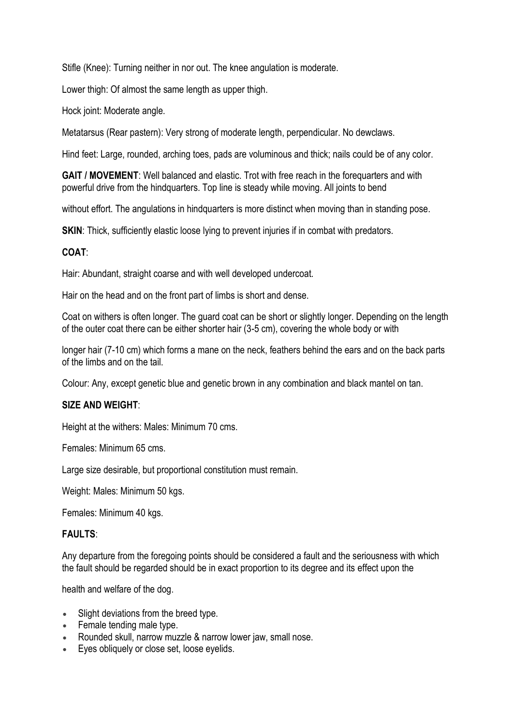Stifle (Knee): Turning neither in nor out. The knee angulation is moderate.

Lower thigh: Of almost the same length as upper thigh.

Hock joint: Moderate angle.

Metatarsus (Rear pastern): Very strong of moderate length, perpendicular. No dewclaws.

Hind feet: Large, rounded, arching toes, pads are voluminous and thick; nails could be of any color.

**GAIT / MOVEMENT**: Well balanced and elastic. Trot with free reach in the forequarters and with powerful drive from the hindquarters. Top line is steady while moving. All joints to bend

without effort. The angulations in hindquarters is more distinct when moving than in standing pose.

**SKIN:** Thick, sufficiently elastic loose lying to prevent injuries if in combat with predators.

# **COAT**:

Hair: Abundant, straight coarse and with well developed undercoat.

Hair on the head and on the front part of limbs is short and dense.

Coat on withers is often longer. The guard coat can be short or slightly longer. Depending on the length of the outer coat there can be either shorter hair (3-5 cm), covering the whole body or with

longer hair (7-10 cm) which forms a mane on the neck, feathers behind the ears and on the back parts of the limbs and on the tail.

Colour: Any, except genetic blue and genetic brown in any combination and black mantel on tan.

# **SIZE AND WEIGHT**:

Height at the withers: Males: Minimum 70 cms.

Females: Minimum 65 cms.

Large size desirable, but proportional constitution must remain.

Weight: Males: Minimum 50 kgs.

Females: Minimum 40 kgs.

### **FAULTS**:

Any departure from the foregoing points should be considered a fault and the seriousness with which the fault should be regarded should be in exact proportion to its degree and its effect upon the

health and welfare of the dog.

- Slight deviations from the breed type.
- Female tending male type.
- Rounded skull, narrow muzzle & narrow lower jaw, small nose.
- Eyes obliquely or close set, loose eyelids.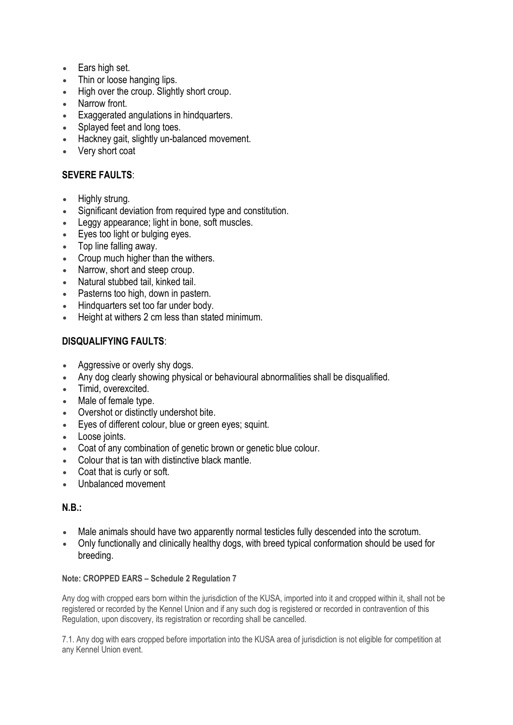- Ears high set.
- Thin or loose hanging lips.
- High over the croup. Slightly short croup.
- Narrow front.
- Exaggerated angulations in hindquarters.
- Splayed feet and long toes.
- Hackney gait, slightly un-balanced movement.
- Very short coat

# **SEVERE FAULTS**:

- Highly strung.
- Significant deviation from required type and constitution.
- Leggy appearance; light in bone, soft muscles.
- Eyes too light or bulging eyes.
- Top line falling away.
- Croup much higher than the withers.
- Narrow, short and steep croup.
- Natural stubbed tail, kinked tail.
- Pasterns too high, down in pastern.
- Hindquarters set too far under body.
- Height at withers 2 cm less than stated minimum.

# **DISQUALIFYING FAULTS**:

- Aggressive or overly shy dogs.
- Any dog clearly showing physical or behavioural abnormalities shall be disqualified.
- Timid, overexcited.
- Male of female type.
- Overshot or distinctly undershot bite.
- Eyes of different colour, blue or green eyes; squint.
- Loose joints.
- Coat of any combination of genetic brown or genetic blue colour.
- Colour that is tan with distinctive black mantle.
- Coat that is curly or soft.
- Unbalanced movement

### **N.B.:**

- Male animals should have two apparently normal testicles fully descended into the scrotum.
- Only functionally and clinically healthy dogs, with breed typical conformation should be used for breeding.

#### **Note: CROPPED EARS – Schedule 2 Regulation 7**

Any dog with cropped ears born within the jurisdiction of the KUSA, imported into it and cropped within it, shall not be registered or recorded by the Kennel Union and if any such dog is registered or recorded in contravention of this Regulation, upon discovery, its registration or recording shall be cancelled.

7.1. Any dog with ears cropped before importation into the KUSA area of jurisdiction is not eligible for competition at any Kennel Union event.